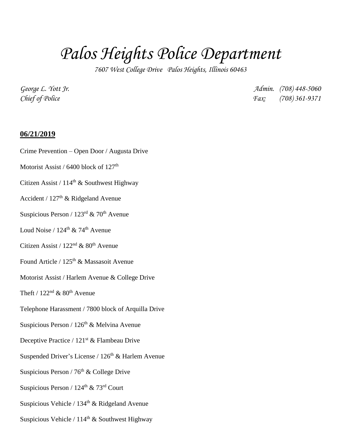## *Palos Heights Police Department*

*7607 West College Drive Palos Heights, Illinois 60463*

*George L. Yott Jr. Admin. (708) 448-5060 Chief of Police Fax: (708) 361-9371*

## **06/21/2019**

- Crime Prevention Open Door / Augusta Drive
- Motorist Assist /  $6400$  block of  $127<sup>th</sup>$
- Citizen Assist /  $114<sup>th</sup>$  & Southwest Highway
- Accident / 127th & Ridgeland Avenue
- Suspicious Person /  $123<sup>rd</sup>$  & 70<sup>th</sup> Avenue
- Loud Noise /  $124^{\text{th}}$  &  $74^{\text{th}}$  Avenue
- Citizen Assist /  $122<sup>nd</sup>$  &  $80<sup>th</sup>$  Avenue
- Found Article /  $125<sup>th</sup>$  & Massasoit Avenue
- Motorist Assist / Harlem Avenue & College Drive
- Theft /  $122<sup>nd</sup>$  &  $80<sup>th</sup>$  Avenue
- Telephone Harassment / 7800 block of Arquilla Drive
- Suspicious Person /  $126<sup>th</sup>$  & Melvina Avenue
- Deceptive Practice / 121<sup>st</sup> & Flambeau Drive
- Suspended Driver's License /  $126<sup>th</sup>$  & Harlem Avenue
- Suspicious Person /  $76<sup>th</sup>$  & College Drive
- Suspicious Person /  $124^{\text{th}}$  &  $73^{\text{rd}}$  Court
- Suspicious Vehicle / 134<sup>th</sup> & Ridgeland Avenue
- Suspicious Vehicle /  $114<sup>th</sup>$  & Southwest Highway